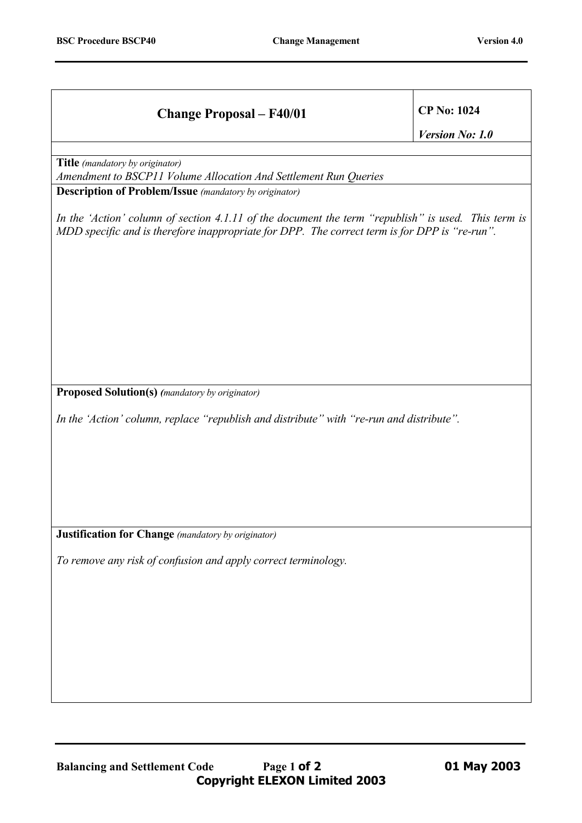| <b>Change Proposal - F40/01</b>                                                                                                                                                                      | <b>CP No: 1024</b> |
|------------------------------------------------------------------------------------------------------------------------------------------------------------------------------------------------------|--------------------|
|                                                                                                                                                                                                      | Version No: 1.0    |
| Title (mandatory by originator)<br>Amendment to BSCP11 Volume Allocation And Settlement Run Queries<br><b>Description of Problem/Issue</b> (mandatory by originator)                                 |                    |
| In the 'Action' column of section 4.1.11 of the document the term "republish" is used. This term is<br>MDD specific and is therefore inappropriate for DPP. The correct term is for DPP is "re-run". |                    |
| <b>Proposed Solution(s)</b> (mandatory by originator)<br>In the 'Action' column, replace "republish and distribute" with "re-run and distribute".                                                    |                    |
| <b>Justification for Change</b> (mandatory by originator)<br>To remove any risk of confusion and apply correct terminology.                                                                          |                    |
|                                                                                                                                                                                                      |                    |
| Page 1 of 2<br><b>Balancing and Settlement Code</b>                                                                                                                                                  | 01 May 2003        |

**Copyright ELEXON Limited 2003**